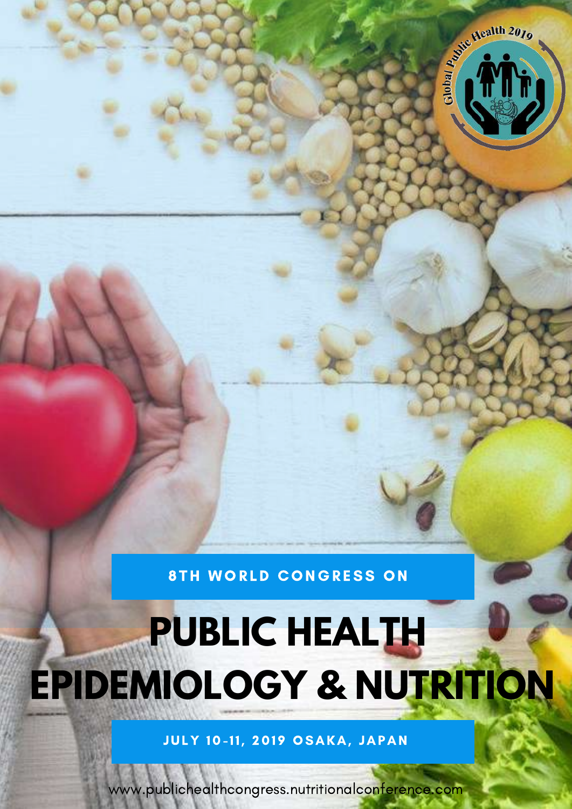

**8TH WORLD CONGRESS ON** 

# **PUBLIC HEALTH EPIDEMIOLOGY & NUTRITION**

JULY 10-11, 2019 OSAKA, JAPAN

[www.publichealthcongress.nutritionalconference.com](https://publichealthcongress.nutritionalconference.com/)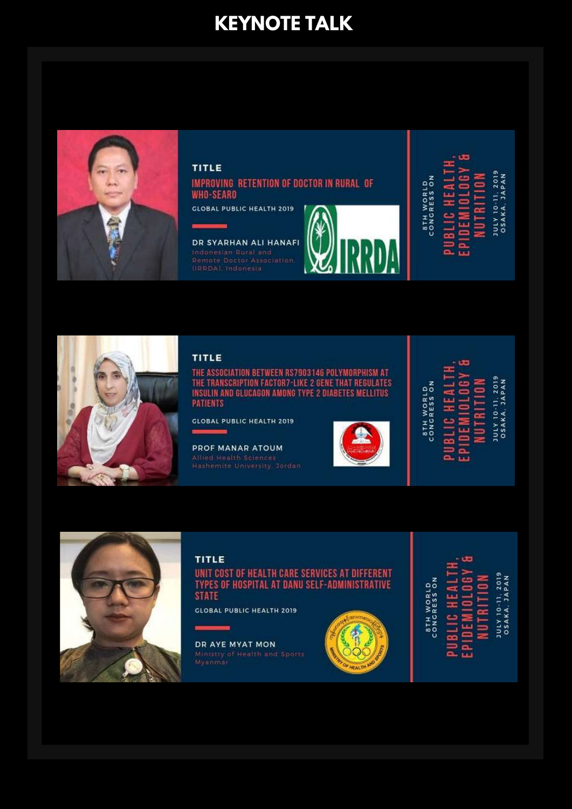## **KEYNOTE TALK**



#### **TITLE**

IMPROVING RETENTION OF DOCTOR IN RURAL OF **WHO-SEARO** 

**GLOBAL PUBLIC HEALTH 2019** 



DR SYARHAN ALI HANAFI **Indonesian Rural and**<br>Remote Doctor Association



**JULY 10-11, 2019**<br>05AKA, JAPAN **8TH WORLD**<br>CONGRESS ON Ę 3 NUTRI EWI BLIC<sup>1</sup>



#### TITLE

THE ASSOCIATION BETWEEN RS7903146 POLYMORPHISM AT<br>THE TRANSCRIPTION FACTOR7-LIKE 2 GENE THAT REGULATES<br>INSULIN AND GLUCAGON AMONG TYPE 2 DIABETES MELLITUS **PATIENTS** 

**GLOBAL PUBLIC HEALTH 2019** 

PROF MANAR ATOUM



**STH WORLD**<br>CONGRESS ON ¥ BLIC<sup>1</sup>

**NUTRIT** Ē c Ξ. ш.

5

JULY 10-11, 2019<br>OSAKA, JAPAN



#### TITLE

UNIT COST OF HEALTH CARE SERVICES AT DIFFERENT **TYPES OF HOSPITAL AT DANU SELF-ADMINISTRATIVE STATE** 

**GLOBAL PUBLIC HEALTH 2019** 

.

DR AYE MYAT MON



JULY 10-11, 2019<br>OSAKA, JAPAN STH WORLD<br>CONGRESS ON 급 UTRIT  $\equiv$ 4 **BLIC** o.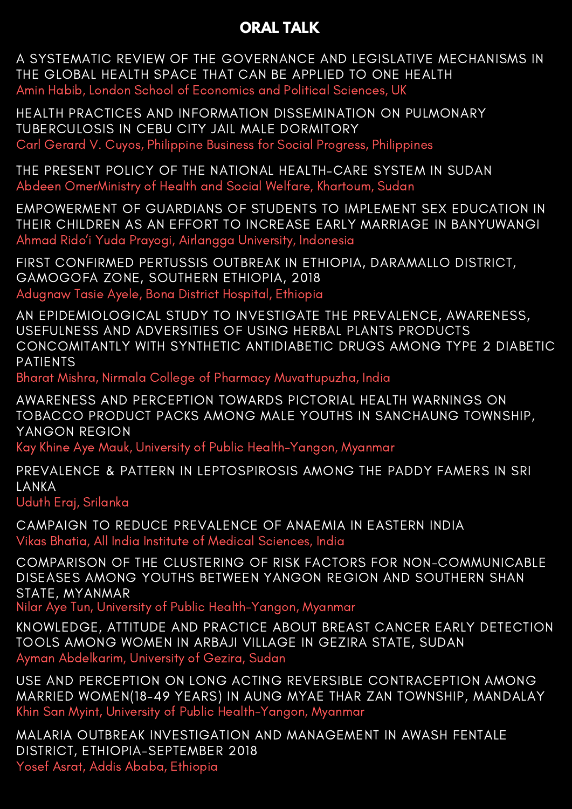## **ORAL TALK**

A SYSTEMATIC REVIEW OF THE GOVERNANCE AND LEGISLATIVE MECHANISMS IN THE GLOBAL HEALTH SPACE THAT CAN BE APPLIED TO ONE HEALTH Amin Habib, London School of Economics and Political Sciences, UK

HEALTH PRACTICES AND INFORMATION DISSEMINATION ON PULMONARY TUBERCULOSIS IN CEBU CITY JAIL MALE DORMITORY Carl Gerard V. Cuyos, Philippine Business for Social Progress, Philippines

THE PRESENT POLICY OF THE NATIONAL HEALTH–CARE SYSTEM IN SUDAN Abdeen OmerMinistry of Health and Social Welfare, Khartoum, Sudan

EMPOWERMENT OF GUARDIANS OF STUDENTS TO IMPLEMENT SEX EDUCATION IN THEIR CHILDREN AS AN EFFORT TO INCREASE EARLY MARRIAGE IN BANYUWANGI Ahmad Rido'i Yuda Prayogi, Airlangga University, Indonesia

FIRST CONFIRMED PERTUSSIS OUTBREAK IN ETHIOPIA, DARAMALLO DISTRICT, GAMOGOFA ZONE, SOUTHERN ETHIOPIA, 2018 Adugnaw Tasie Ayele, Bona District Hospital, Ethiopia

AN EPIDEMIOLOGICAL STUDY TO INVESTIGATE THE PREVALENCE, AWARENESS, USEFULNESS AND ADVERSITIES OF USING HERBAL PLANTS PRODUCTS CONCOMITANTLY WITH SYNTHETIC ANTIDIABETIC DRUGS AMONG TYPE 2 DIABETIC PATIENTS

Bharat Mishra, Nirmala College of Pharmacy Muvattupuzha, India

AWARENESS AND PERCEPTION TOWARDS PICTORIAL HEALTH WARNINGS ON TOBACCO PRODUCT PACKS AMONG MALE YOUTHS IN SANCHAUNG TOWNSHIP, YANGON REGION

Kay Khine Aye Mauk, University of Public Health-Yangon, Myanmar

PREVALENCE & PATTERN IN LEPTOSPIROSIS AMONG THE PADDY FAMERS IN SRI LANKA

Uduth Eraj, Srilanka

CAMPAIGN TO REDUCE PREVALENCE OF ANAEMIA IN EASTERN INDIA Vikas Bhatia, All India Institute of Medical Sciences, India

COMPARISON OF THE CLUSTERING OF RISK FACTORS FOR NON-COMMUNICABLE DISEASES AMONG YOUTHS BETWEEN YANGON REGION AND SOUTHERN SHAN STATE, MYANMAR

Nilar Aye Tun, University of Public Health-Yangon, Myanmar

KNOWLEDGE, ATTITUDE AND PRACTICE ABOUT BREAST CANCER EARLY DETECTION TOOLS AMONG WOMEN IN ARBAJI VILLAGE IN GEZIRA STATE, SUDAN Ayman Abdelkarim, University of Gezira, Sudan

USE AND PERCEPTION ON LONG ACTING REVERSIBLE CONTRACEPTION AMONG MARRIED WOMEN(18-49 YEARS) IN AUNG MYAE THAR ZAN TOWNSHIP, MANDALAY Khin San Myint, University of Public Health-Yangon, Myanmar

MALARIA OUTBREAK INVESTIGATION AND MANAGEMENT IN AWASH FENTALE DISTRICT, ETHIOPIA-SEPTEMBER 2018 Yosef Asrat, Addis Ababa, Ethiopia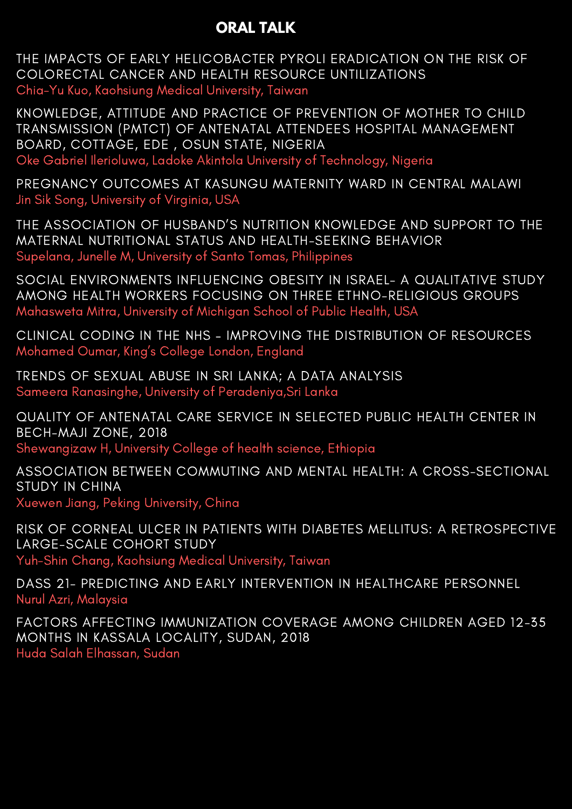## **ORAL TALK**

THE IMPACTS OF EARLY HELICOBACTER PYROLI ERADICATION ON THE RISK OF COLORECTAL CANCER AND HEALTH RESOURCE UNTILIZATIONS Chia-Yu Kuo, Kaohsiung Medical University, Taiwan

KNOWLEDGE, ATTITUDE AND PRACTICE OF PREVENTION OF MOTHER TO CHILD TRANSMISSION (PMTCT) OF ANTENATAL ATTENDEES HOSPITAL MANAGEMENT BOARD, COTTAGE, EDE , OSUN STATE, NIGERIA Oke Gabriel Ilerioluwa, Ladoke Akintola University of Technology, Nigeria

PREGNANCY OUTCOMES AT KASUNGU MATERNITY WARD IN CENTRAL MALAWI Jin Sik Song, University of Virginia, USA

THE ASSOCIATION OF HUSBAND'S NUTRITION KNOWLEDGE AND SUPPORT TO THE MATERNAL NUTRITIONAL STATUS AND HEALTH-SEEKING BEHAVIOR Supelana, Junelle M, University of Santo Tomas, Philippines

SOCIAL ENVIRONMENTS INFLUENCING OBESITY IN ISRAEL- A QUALITATIVE STUDY AMONG HEALTH WORKERS FOCUSING ON THREE ETHNO-RELIGIOUS GROUPS Mahasweta Mitra, University of Michigan School of Public Health, USA

CLINICAL CODING IN THE NHS – IMPROVING THE DISTRIBUTION OF RESOURCES Mohamed Oumar, King's College London, England

TRENDS OF SEXUAL ABUSE IN SRI LANKA; A DATA ANALYSIS Sameera Ranasinghe, University of Peradeniya,Sri Lanka

QUALITY OF ANTENATAL CARE SERVICE IN SELECTED PUBLIC HEALTH CENTER IN BECH-MAJI ZONE, 2018

Shewangizaw H, University College of health science, Ethiopia

ASSOCIATION BETWEEN COMMUTING AND MENTAL HEALTH: A CROSS-SECTIONAL STUDY IN CHINA Xuewen Jiang, Peking University, China

RISK OF CORNEAL ULCER IN PATIENTS WITH DIABETES MELLITUS: A RETROSPECTIVE LARGE-SCALE COHORT STUDY

Yuh-Shin Chang, Kaohsiung Medical University, Taiwan

DASS 21- PREDICTING AND EARLY INTERVENTION IN HEALTHCARE PERSONNEL Nurul Azri, Malaysia

FACTORS AFFECTING IMMUNIZATION COVERAGE AMONG CHILDREN AGED 12-35 MONTHS IN KASSALA LOCALITY, SUDAN, 2018 Huda Salah Elhassan, Sudan